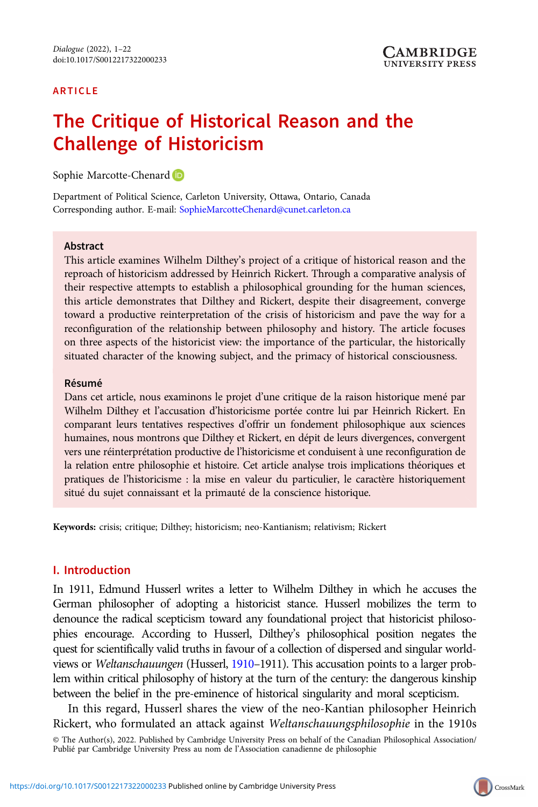### ARTICLE

# The Critique of Historical Reason and the Challenge of Historicism

Sophie Marcotte-Chenard<sup>D</sup>

Department of Political Science, Carleton University, Ottawa, Ontario, Canada Corresponding author. E-mail: [SophieMarcotteChenard@cunet.carleton.ca](mailto:SophieMarcotteChenard@cunet.carleton.ca)

### Abstract

This article examines Wilhelm Dilthey's project of a critique of historical reason and the reproach of historicism addressed by Heinrich Rickert. Through a comparative analysis of their respective attempts to establish a philosophical grounding for the human sciences, this article demonstrates that Dilthey and Rickert, despite their disagreement, converge toward a productive reinterpretation of the crisis of historicism and pave the way for a reconfiguration of the relationship between philosophy and history. The article focuses on three aspects of the historicist view: the importance of the particular, the historically situated character of the knowing subject, and the primacy of historical consciousness.

#### Résumé

Dans cet article, nous examinons le projet d'une critique de la raison historique mené par Wilhelm Dilthey et l'accusation d'historicisme portée contre lui par Heinrich Rickert. En comparant leurs tentatives respectives d'offrir un fondement philosophique aux sciences humaines, nous montrons que Dilthey et Rickert, en dépit de leurs divergences, convergent vers une réinterprétation productive de l'historicisme et conduisent à une reconfiguration de la relation entre philosophie et histoire. Cet article analyse trois implications théoriques et pratiques de l'historicisme : la mise en valeur du particulier, le caractère historiquement situé du sujet connaissant et la primauté de la conscience historique.

Keywords: crisis; critique; Dilthey; historicism; neo-Kantianism; relativism; Rickert

### I. Introduction

In 1911, Edmund Husserl writes a letter to Wilhelm Dilthey in which he accuses the German philosopher of adopting a historicist stance. Husserl mobilizes the term to denounce the radical scepticism toward any foundational project that historicist philosophies encourage. According to Husserl, Dilthey's philosophical position negates the quest for scientifically valid truths in favour of a collection of dispersed and singular world-views or Weltanschauungen (Husserl, [1910](#page-20-0)-1911). This accusation points to a larger problem within critical philosophy of history at the turn of the century: the dangerous kinship between the belief in the pre-eminence of historical singularity and moral scepticism.

In this regard, Husserl shares the view of the neo-Kantian philosopher Heinrich Rickert, who formulated an attack against Weltanschauungsphilosophie in the 1910s © The Author(s), 2022. Published by Cambridge University Press on behalf of the Canadian Philosophical Association/ Publié par Cambridge University Press au nom de l'Association canadienne de philosophie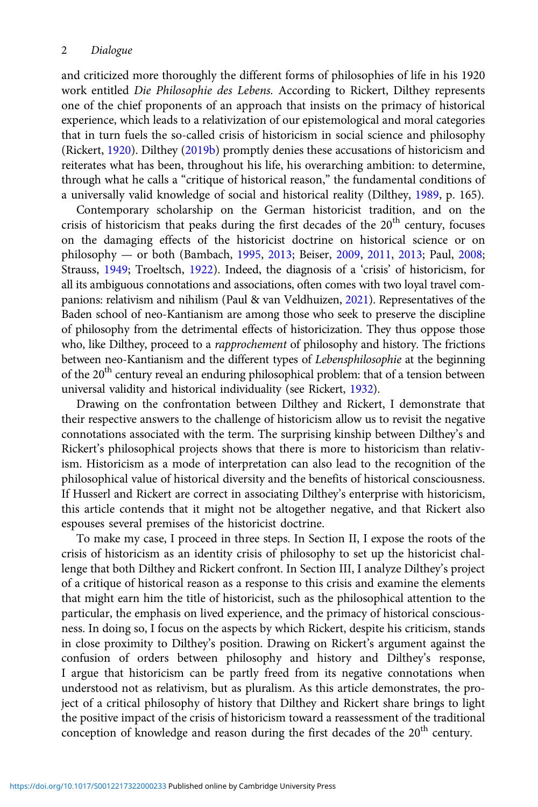and criticized more thoroughly the different forms of philosophies of life in his 1920 work entitled Die Philosophie des Lebens. According to Rickert, Dilthey represents one of the chief proponents of an approach that insists on the primacy of historical experience, which leads to a relativization of our epistemological and moral categories that in turn fuels the so-called crisis of historicism in social science and philosophy (Rickert, [1920](#page-21-0)). Dilthey ([2019b\)](#page-20-0) promptly denies these accusations of historicism and reiterates what has been, throughout his life, his overarching ambition: to determine, through what he calls a "critique of historical reason," the fundamental conditions of a universally valid knowledge of social and historical reality (Dilthey, [1989,](#page-20-0) p. 165).

Contemporary scholarship on the German historicist tradition, and on the crisis of historicism that peaks during the first decades of the  $20<sup>th</sup>$  century, focuses on the damaging effects of the historicist doctrine on historical science or on philosophy — or both (Bambach, [1995,](#page-19-0) [2013](#page-19-0); Beiser, [2009](#page-19-0), [2011](#page-19-0), [2013](#page-19-0); Paul, [2008](#page-20-0); Strauss, [1949;](#page-21-0) Troeltsch, [1922](#page-21-0)). Indeed, the diagnosis of a 'crisis' of historicism, for all its ambiguous connotations and associations, often comes with two loyal travel companions: relativism and nihilism (Paul & van Veldhuizen, [2021](#page-20-0)). Representatives of the Baden school of neo-Kantianism are among those who seek to preserve the discipline of philosophy from the detrimental effects of historicization. They thus oppose those who, like Dilthey, proceed to a rapprochement of philosophy and history. The frictions between neo-Kantianism and the different types of Lebensphilosophie at the beginning of the 20<sup>th</sup> century reveal an enduring philosophical problem: that of a tension between universal validity and historical individuality (see Rickert, [1932\)](#page-21-0).

Drawing on the confrontation between Dilthey and Rickert, I demonstrate that their respective answers to the challenge of historicism allow us to revisit the negative connotations associated with the term. The surprising kinship between Dilthey's and Rickert's philosophical projects shows that there is more to historicism than relativism. Historicism as a mode of interpretation can also lead to the recognition of the philosophical value of historical diversity and the benefits of historical consciousness. If Husserl and Rickert are correct in associating Dilthey's enterprise with historicism, this article contends that it might not be altogether negative, and that Rickert also espouses several premises of the historicist doctrine.

To make my case, I proceed in three steps. In Section II, I expose the roots of the crisis of historicism as an identity crisis of philosophy to set up the historicist challenge that both Dilthey and Rickert confront. In Section III, I analyze Dilthey's project of a critique of historical reason as a response to this crisis and examine the elements that might earn him the title of historicist, such as the philosophical attention to the particular, the emphasis on lived experience, and the primacy of historical consciousness. In doing so, I focus on the aspects by which Rickert, despite his criticism, stands in close proximity to Dilthey's position. Drawing on Rickert's argument against the confusion of orders between philosophy and history and Dilthey's response, I argue that historicism can be partly freed from its negative connotations when understood not as relativism, but as pluralism. As this article demonstrates, the project of a critical philosophy of history that Dilthey and Rickert share brings to light the positive impact of the crisis of historicism toward a reassessment of the traditional conception of knowledge and reason during the first decades of the 20<sup>th</sup> century.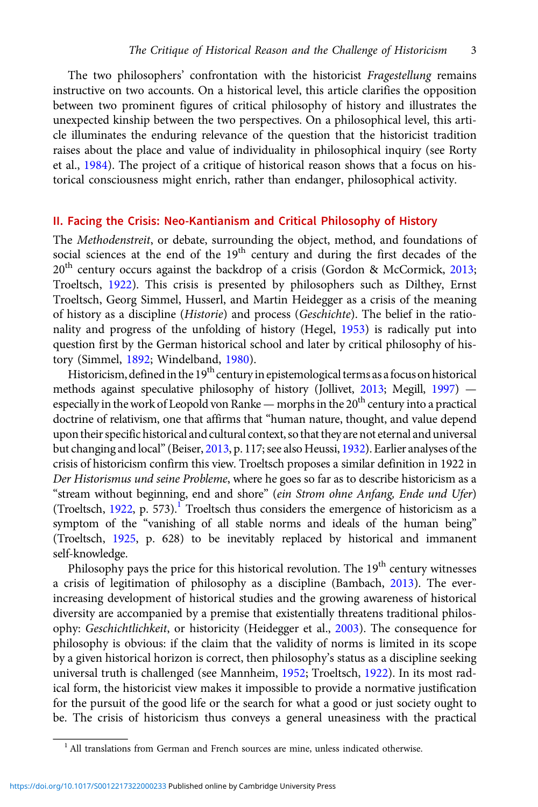The two philosophers' confrontation with the historicist Fragestellung remains instructive on two accounts. On a historical level, this article clarifies the opposition between two prominent figures of critical philosophy of history and illustrates the unexpected kinship between the two perspectives. On a philosophical level, this article illuminates the enduring relevance of the question that the historicist tradition raises about the place and value of individuality in philosophical inquiry (see Rorty et al., [1984](#page-21-0)). The project of a critique of historical reason shows that a focus on historical consciousness might enrich, rather than endanger, philosophical activity.

### II. Facing the Crisis: Neo-Kantianism and Critical Philosophy of History

The Methodenstreit, or debate, surrounding the object, method, and foundations of social sciences at the end of the 19<sup>th</sup> century and during the first decades of the 20<sup>th</sup> century occurs against the backdrop of a crisis (Gordon & McCormick, [2013](#page-20-0); Troeltsch, [1922\)](#page-21-0). This crisis is presented by philosophers such as Dilthey, Ernst Troeltsch, Georg Simmel, Husserl, and Martin Heidegger as a crisis of the meaning of history as a discipline (Historie) and process (Geschichte). The belief in the rationality and progress of the unfolding of history (Hegel, [1953](#page-20-0)) is radically put into question first by the German historical school and later by critical philosophy of history (Simmel, [1892;](#page-21-0) Windelband, [1980](#page-21-0)).

Historicism, defined in the  $19<sup>th</sup>$  century in epistemological terms as a focus on historical methods against speculative philosophy of history (Jollivet, [2013](#page-20-0); Megill, [1997](#page-20-0)) especially in the work of Leopold von Ranke — morphs in the 20<sup>th</sup> century into a practical doctrine of relativism, one that affirms that "human nature, thought, and value depend upon their specific historical and cultural context, so that they are not eternal and universal but changing and local"(Beiser, [2013,](#page-19-0) p. 117; see also Heussi, [1932](#page-20-0)). Earlier analyses of the crisis of historicism confirm this view. Troeltsch proposes a similar definition in 1922 in Der Historismus und seine Probleme, where he goes so far as to describe historicism as a "stream without beginning, end and shore" (ein Strom ohne Anfang, Ende und Ufer) (Troeltsch,  $1922$ , p. 573).<sup>1</sup> Troeltsch thus considers the emergence of historicism as a symptom of the "vanishing of all stable norms and ideals of the human being" (Troeltsch, [1925](#page-21-0), p. 628) to be inevitably replaced by historical and immanent self-knowledge.

Philosophy pays the price for this historical revolution. The  $19<sup>th</sup>$  century witnesses a crisis of legitimation of philosophy as a discipline (Bambach, [2013](#page-19-0)). The everincreasing development of historical studies and the growing awareness of historical diversity are accompanied by a premise that existentially threatens traditional philos-ophy: Geschichtlichkeit, or historicity (Heidegger et al., [2003](#page-20-0)). The consequence for philosophy is obvious: if the claim that the validity of norms is limited in its scope by a given historical horizon is correct, then philosophy's status as a discipline seeking universal truth is challenged (see Mannheim, [1952](#page-20-0); Troeltsch, [1922\)](#page-21-0). In its most radical form, the historicist view makes it impossible to provide a normative justification for the pursuit of the good life or the search for what a good or just society ought to be. The crisis of historicism thus conveys a general uneasiness with the practical

<sup>&</sup>lt;sup>1</sup> All translations from German and French sources are mine, unless indicated otherwise.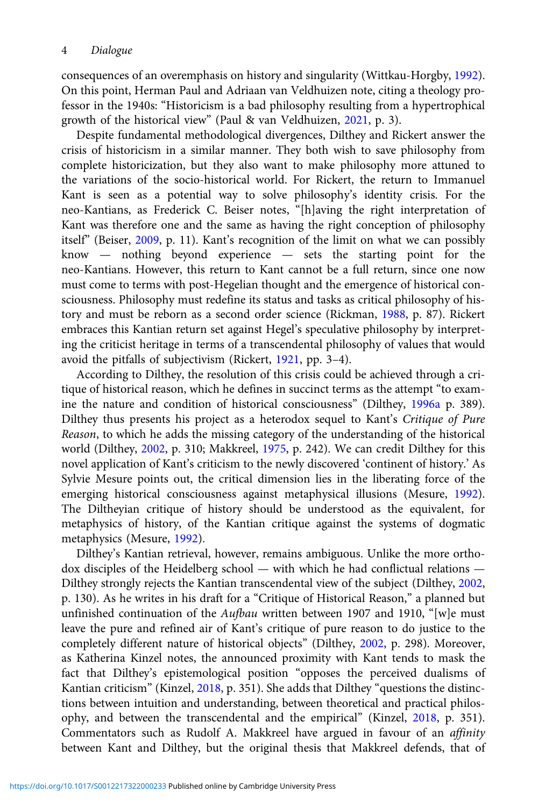consequences of an overemphasis on history and singularity (Wittkau-Horgby, [1992\)](#page-21-0). On this point, Herman Paul and Adriaan van Veldhuizen note, citing a theology professor in the 1940s: "Historicism is a bad philosophy resulting from a hypertrophical growth of the historical view" (Paul & van Veldhuizen, [2021,](#page-20-0) p. 3).

Despite fundamental methodological divergences, Dilthey and Rickert answer the crisis of historicism in a similar manner. They both wish to save philosophy from complete historicization, but they also want to make philosophy more attuned to the variations of the socio-historical world. For Rickert, the return to Immanuel Kant is seen as a potential way to solve philosophy's identity crisis. For the neo-Kantians, as Frederick C. Beiser notes, "[h]aving the right interpretation of Kant was therefore one and the same as having the right conception of philosophy itself" (Beiser, [2009,](#page-19-0) p. 11). Kant's recognition of the limit on what we can possibly know — nothing beyond experience — sets the starting point for the neo-Kantians. However, this return to Kant cannot be a full return, since one now must come to terms with post-Hegelian thought and the emergence of historical consciousness. Philosophy must redefine its status and tasks as critical philosophy of history and must be reborn as a second order science (Rickman, [1988,](#page-21-0) p. 87). Rickert embraces this Kantian return set against Hegel's speculative philosophy by interpreting the criticist heritage in terms of a transcendental philosophy of values that would avoid the pitfalls of subjectivism (Rickert, [1921,](#page-21-0) pp. 3–4).

According to Dilthey, the resolution of this crisis could be achieved through a critique of historical reason, which he defines in succinct terms as the attempt "to examine the nature and condition of historical consciousness" (Dilthey, [1996a](#page-20-0) p. 389). Dilthey thus presents his project as a heterodox sequel to Kant's Critique of Pure Reason, to which he adds the missing category of the understanding of the historical world (Dilthey, [2002](#page-20-0), p. 310; Makkreel, [1975,](#page-20-0) p. 242). We can credit Dilthey for this novel application of Kant's criticism to the newly discovered 'continent of history.' As Sylvie Mesure points out, the critical dimension lies in the liberating force of the emerging historical consciousness against metaphysical illusions (Mesure, [1992\)](#page-20-0). The Diltheyian critique of history should be understood as the equivalent, for metaphysics of history, of the Kantian critique against the systems of dogmatic metaphysics (Mesure, [1992](#page-20-0)).

Dilthey's Kantian retrieval, however, remains ambiguous. Unlike the more orthodox disciples of the Heidelberg school — with which he had conflictual relations — Dilthey strongly rejects the Kantian transcendental view of the subject (Dilthey, [2002](#page-20-0), p. 130). As he writes in his draft for a "Critique of Historical Reason," a planned but unfinished continuation of the Aufbau written between 1907 and 1910, "[w]e must leave the pure and refined air of Kant's critique of pure reason to do justice to the completely different nature of historical objects" (Dilthey, [2002](#page-20-0), p. 298). Moreover, as Katherina Kinzel notes, the announced proximity with Kant tends to mask the fact that Dilthey's epistemological position "opposes the perceived dualisms of Kantian criticism" (Kinzel, [2018](#page-20-0), p. 351). She adds that Dilthey "questions the distinctions between intuition and understanding, between theoretical and practical philosophy, and between the transcendental and the empirical" (Kinzel, [2018,](#page-20-0) p. 351). Commentators such as Rudolf A. Makkreel have argued in favour of an affinity between Kant and Dilthey, but the original thesis that Makkreel defends, that of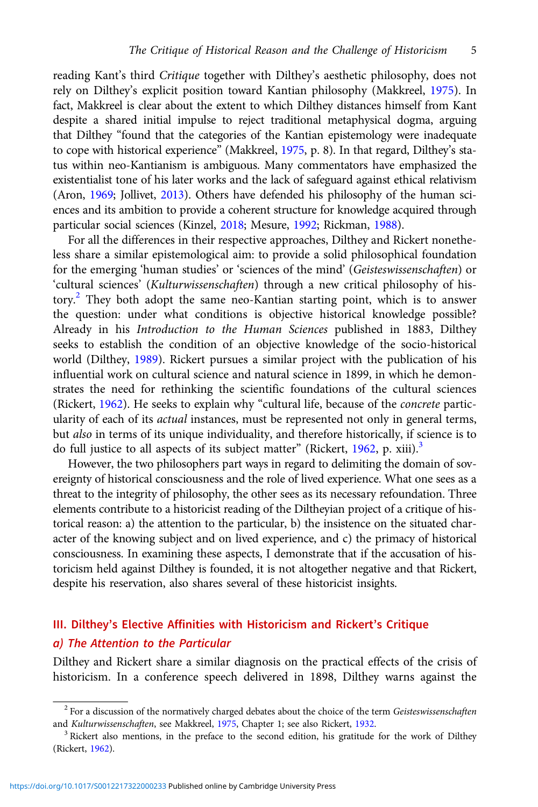reading Kant's third Critique together with Dilthey's aesthetic philosophy, does not rely on Dilthey's explicit position toward Kantian philosophy (Makkreel, [1975\)](#page-20-0). In fact, Makkreel is clear about the extent to which Dilthey distances himself from Kant despite a shared initial impulse to reject traditional metaphysical dogma, arguing that Dilthey "found that the categories of the Kantian epistemology were inadequate to cope with historical experience" (Makkreel, [1975](#page-20-0), p. 8). In that regard, Dilthey's status within neo-Kantianism is ambiguous. Many commentators have emphasized the existentialist tone of his later works and the lack of safeguard against ethical relativism (Aron, [1969;](#page-19-0) Jollivet, [2013\)](#page-20-0). Others have defended his philosophy of the human sciences and its ambition to provide a coherent structure for knowledge acquired through particular social sciences (Kinzel, [2018;](#page-20-0) Mesure, [1992](#page-20-0); Rickman, [1988\)](#page-21-0).

For all the differences in their respective approaches, Dilthey and Rickert nonetheless share a similar epistemological aim: to provide a solid philosophical foundation for the emerging 'human studies' or 'sciences of the mind' (Geisteswissenschaften) or 'cultural sciences' (Kulturwissenschaften) through a new critical philosophy of history.<sup>2</sup> They both adopt the same neo-Kantian starting point, which is to answer the question: under what conditions is objective historical knowledge possible? Already in his Introduction to the Human Sciences published in 1883, Dilthey seeks to establish the condition of an objective knowledge of the socio-historical world (Dilthey, [1989\)](#page-20-0). Rickert pursues a similar project with the publication of his influential work on cultural science and natural science in 1899, in which he demonstrates the need for rethinking the scientific foundations of the cultural sciences (Rickert, [1962\)](#page-21-0). He seeks to explain why "cultural life, because of the concrete particularity of each of its actual instances, must be represented not only in general terms, but also in terms of its unique individuality, and therefore historically, if science is to do full justice to all aspects of its subject matter" (Rickert,  $1962$ , p. xiii).<sup>3</sup>

However, the two philosophers part ways in regard to delimiting the domain of sovereignty of historical consciousness and the role of lived experience. What one sees as a threat to the integrity of philosophy, the other sees as its necessary refoundation. Three elements contribute to a historicist reading of the Diltheyian project of a critique of historical reason: a) the attention to the particular, b) the insistence on the situated character of the knowing subject and on lived experience, and c) the primacy of historical consciousness. In examining these aspects, I demonstrate that if the accusation of historicism held against Dilthey is founded, it is not altogether negative and that Rickert, despite his reservation, also shares several of these historicist insights.

# III. Dilthey's Elective Affinities with Historicism and Rickert's Critique a) The Attention to the Particular

Dilthey and Rickert share a similar diagnosis on the practical effects of the crisis of historicism. In a conference speech delivered in 1898, Dilthey warns against the

<sup>&</sup>lt;sup>2</sup> For a discussion of the normatively charged debates about the choice of the term Geisteswissenschaften and Kulturwissenschaften, see Makkreel, [1975,](#page-20-0) Chapter 1; see also Rickert, [1932](#page-21-0).<br><sup>3</sup> Rickert also mentions, in the preface to the second edition, his gratitude for the work of Dilthey

<sup>(</sup>Rickert, [1962\)](#page-21-0).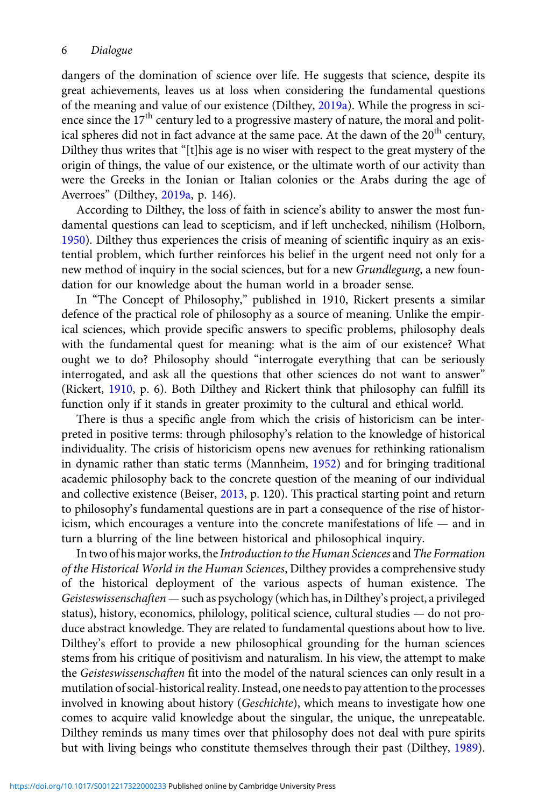dangers of the domination of science over life. He suggests that science, despite its great achievements, leaves us at loss when considering the fundamental questions of the meaning and value of our existence (Dilthey, [2019a](#page-20-0)). While the progress in science since the  $17<sup>th</sup>$  century led to a progressive mastery of nature, the moral and political spheres did not in fact advance at the same pace. At the dawn of the 20<sup>th</sup> century, Dilthey thus writes that "[t]his age is no wiser with respect to the great mystery of the origin of things, the value of our existence, or the ultimate worth of our activity than were the Greeks in the Ionian or Italian colonies or the Arabs during the age of Averroes" (Dilthey, [2019a](#page-20-0), p. 146).

According to Dilthey, the loss of faith in science's ability to answer the most fundamental questions can lead to scepticism, and if left unchecked, nihilism (Holborn, [1950](#page-20-0)). Dilthey thus experiences the crisis of meaning of scientific inquiry as an existential problem, which further reinforces his belief in the urgent need not only for a new method of inquiry in the social sciences, but for a new Grundlegung, a new foundation for our knowledge about the human world in a broader sense.

In "The Concept of Philosophy," published in 1910, Rickert presents a similar defence of the practical role of philosophy as a source of meaning. Unlike the empirical sciences, which provide specific answers to specific problems, philosophy deals with the fundamental quest for meaning: what is the aim of our existence? What ought we to do? Philosophy should "interrogate everything that can be seriously interrogated, and ask all the questions that other sciences do not want to answer" (Rickert, [1910](#page-21-0), p. 6). Both Dilthey and Rickert think that philosophy can fulfill its function only if it stands in greater proximity to the cultural and ethical world.

There is thus a specific angle from which the crisis of historicism can be interpreted in positive terms: through philosophy's relation to the knowledge of historical individuality. The crisis of historicism opens new avenues for rethinking rationalism in dynamic rather than static terms (Mannheim, [1952](#page-20-0)) and for bringing traditional academic philosophy back to the concrete question of the meaning of our individual and collective existence (Beiser, [2013](#page-19-0), p. 120). This practical starting point and return to philosophy's fundamental questions are in part a consequence of the rise of historicism, which encourages a venture into the concrete manifestations of life — and in turn a blurring of the line between historical and philosophical inquiry.

In two of his major works, the Introduction to the Human Sciences and The Formation of the Historical World in the Human Sciences, Dilthey provides a comprehensive study of the historical deployment of the various aspects of human existence. The Geisteswissenschaften—such as psychology (which has, in Dilthey's project, a privileged status), history, economics, philology, political science, cultural studies — do not produce abstract knowledge. They are related to fundamental questions about how to live. Dilthey's effort to provide a new philosophical grounding for the human sciences stems from his critique of positivism and naturalism. In his view, the attempt to make the Geisteswissenschaften fit into the model of the natural sciences can only result in a mutilation of social-historical reality. Instead, one needs to pay attention to the processes involved in knowing about history (*Geschichte*), which means to investigate how one comes to acquire valid knowledge about the singular, the unique, the unrepeatable. Dilthey reminds us many times over that philosophy does not deal with pure spirits but with living beings who constitute themselves through their past (Dilthey, [1989\)](#page-20-0).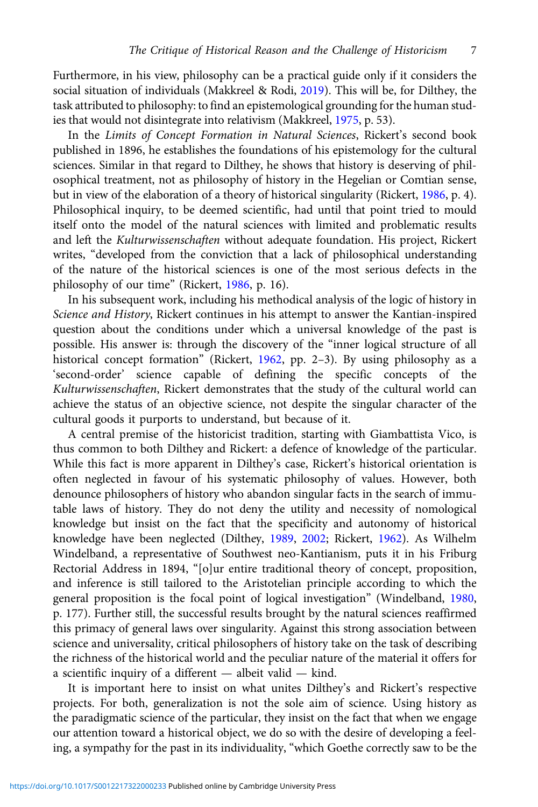Furthermore, in his view, philosophy can be a practical guide only if it considers the social situation of individuals (Makkreel & Rodi, [2019](#page-20-0)). This will be, for Dilthey, the task attributed to philosophy: to find an epistemological grounding for the human studies that would not disintegrate into relativism (Makkreel, [1975](#page-20-0), p. 53).

In the Limits of Concept Formation in Natural Sciences, Rickert's second book published in 1896, he establishes the foundations of his epistemology for the cultural sciences. Similar in that regard to Dilthey, he shows that history is deserving of philosophical treatment, not as philosophy of history in the Hegelian or Comtian sense, but in view of the elaboration of a theory of historical singularity (Rickert, [1986,](#page-21-0) p. 4). Philosophical inquiry, to be deemed scientific, had until that point tried to mould itself onto the model of the natural sciences with limited and problematic results and left the Kulturwissenschaften without adequate foundation. His project, Rickert writes, "developed from the conviction that a lack of philosophical understanding of the nature of the historical sciences is one of the most serious defects in the philosophy of our time" (Rickert, [1986](#page-21-0), p. 16).

In his subsequent work, including his methodical analysis of the logic of history in Science and History, Rickert continues in his attempt to answer the Kantian-inspired question about the conditions under which a universal knowledge of the past is possible. His answer is: through the discovery of the "inner logical structure of all historical concept formation" (Rickert, [1962](#page-21-0), pp. 2-3). By using philosophy as a 'second-order' science capable of defining the specific concepts of the Kulturwissenschaften, Rickert demonstrates that the study of the cultural world can achieve the status of an objective science, not despite the singular character of the cultural goods it purports to understand, but because of it.

A central premise of the historicist tradition, starting with Giambattista Vico, is thus common to both Dilthey and Rickert: a defence of knowledge of the particular. While this fact is more apparent in Dilthey's case, Rickert's historical orientation is often neglected in favour of his systematic philosophy of values. However, both denounce philosophers of history who abandon singular facts in the search of immutable laws of history. They do not deny the utility and necessity of nomological knowledge but insist on the fact that the specificity and autonomy of historical knowledge have been neglected (Dilthey, [1989,](#page-20-0) [2002;](#page-20-0) Rickert, [1962\)](#page-21-0). As Wilhelm Windelband, a representative of Southwest neo-Kantianism, puts it in his Friburg Rectorial Address in 1894, "[o]ur entire traditional theory of concept, proposition, and inference is still tailored to the Aristotelian principle according to which the general proposition is the focal point of logical investigation" (Windelband, [1980](#page-21-0), p. 177). Further still, the successful results brought by the natural sciences reaffirmed this primacy of general laws over singularity. Against this strong association between science and universality, critical philosophers of history take on the task of describing the richness of the historical world and the peculiar nature of the material it offers for a scientific inquiry of a different — albeit valid — kind.

It is important here to insist on what unites Dilthey's and Rickert's respective projects. For both, generalization is not the sole aim of science. Using history as the paradigmatic science of the particular, they insist on the fact that when we engage our attention toward a historical object, we do so with the desire of developing a feeling, a sympathy for the past in its individuality, "which Goethe correctly saw to be the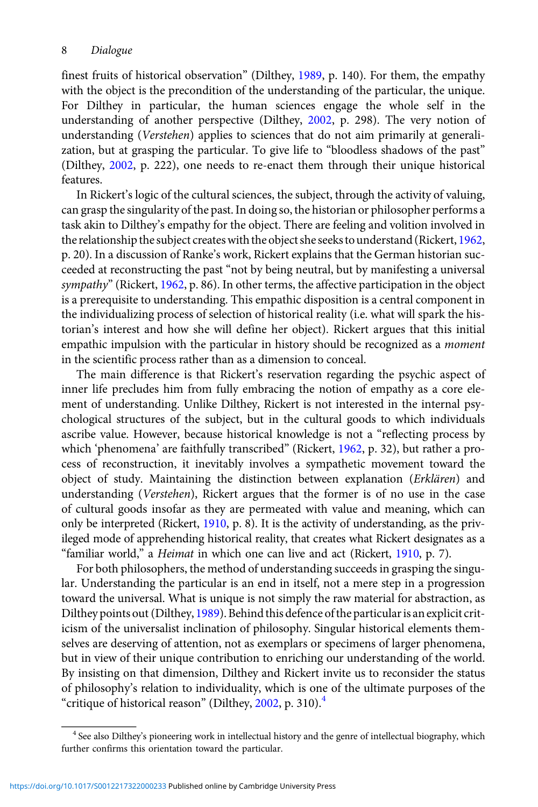finest fruits of historical observation" (Dilthey, [1989,](#page-20-0) p. 140). For them, the empathy with the object is the precondition of the understanding of the particular, the unique. For Dilthey in particular, the human sciences engage the whole self in the understanding of another perspective (Dilthey, [2002](#page-20-0), p. 298). The very notion of understanding (Verstehen) applies to sciences that do not aim primarily at generalization, but at grasping the particular. To give life to "bloodless shadows of the past" (Dilthey, [2002,](#page-20-0) p. 222), one needs to re-enact them through their unique historical features.

In Rickert's logic of the cultural sciences, the subject, through the activity of valuing, can grasp the singularity of the past. In doing so, the historian or philosopher performs a task akin to Dilthey's empathy for the object. There are feeling and volition involved in the relationship the subject creates with the object she seeks to understand (Rickert, [1962](#page-21-0), p. 20). In a discussion of Ranke's work, Rickert explains that the German historian succeeded at reconstructing the past "not by being neutral, but by manifesting a universal sympathy" (Rickert, [1962,](#page-21-0) p. 86). In other terms, the affective participation in the object is a prerequisite to understanding. This empathic disposition is a central component in the individualizing process of selection of historical reality (i.e. what will spark the historian's interest and how she will define her object). Rickert argues that this initial empathic impulsion with the particular in history should be recognized as a moment in the scientific process rather than as a dimension to conceal.

The main difference is that Rickert's reservation regarding the psychic aspect of inner life precludes him from fully embracing the notion of empathy as a core element of understanding. Unlike Dilthey, Rickert is not interested in the internal psychological structures of the subject, but in the cultural goods to which individuals ascribe value. However, because historical knowledge is not a "reflecting process by which 'phenomena' are faithfully transcribed" (Rickert, [1962,](#page-21-0) p. 32), but rather a process of reconstruction, it inevitably involves a sympathetic movement toward the object of study. Maintaining the distinction between explanation (Erklären) and understanding (Verstehen), Rickert argues that the former is of no use in the case of cultural goods insofar as they are permeated with value and meaning, which can only be interpreted (Rickert, [1910,](#page-21-0) p. 8). It is the activity of understanding, as the privileged mode of apprehending historical reality, that creates what Rickert designates as a "familiar world," a Heimat in which one can live and act (Rickert, [1910](#page-21-0), p. 7).

For both philosophers, the method of understanding succeeds in grasping the singular. Understanding the particular is an end in itself, not a mere step in a progression toward the universal. What is unique is not simply the raw material for abstraction, as Dilthey points out (Dilthey, [1989](#page-20-0)). Behind this defence of the particular is an explicit criticism of the universalist inclination of philosophy. Singular historical elements themselves are deserving of attention, not as exemplars or specimens of larger phenomena, but in view of their unique contribution to enriching our understanding of the world. By insisting on that dimension, Dilthey and Rickert invite us to reconsider the status of philosophy's relation to individuality, which is one of the ultimate purposes of the "critique of historical reason" (Dilthey, [2002,](#page-20-0) p. 310). $<sup>4</sup>$ </sup>

<sup>4</sup> See also Dilthey's pioneering work in intellectual history and the genre of intellectual biography, which further confirms this orientation toward the particular.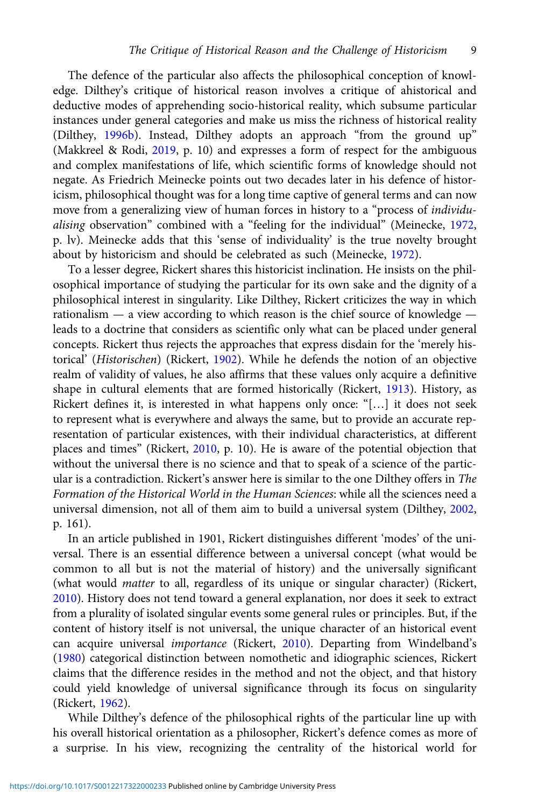The defence of the particular also affects the philosophical conception of knowledge. Dilthey's critique of historical reason involves a critique of ahistorical and deductive modes of apprehending socio-historical reality, which subsume particular instances under general categories and make us miss the richness of historical reality (Dilthey, [1996b\)](#page-20-0). Instead, Dilthey adopts an approach "from the ground up" (Makkreel & Rodi, [2019](#page-20-0), p. 10) and expresses a form of respect for the ambiguous and complex manifestations of life, which scientific forms of knowledge should not negate. As Friedrich Meinecke points out two decades later in his defence of historicism, philosophical thought was for a long time captive of general terms and can now move from a generalizing view of human forces in history to a "process of individualising observation" combined with a "feeling for the individual" (Meinecke, [1972](#page-20-0), p. lv). Meinecke adds that this 'sense of individuality' is the true novelty brought about by historicism and should be celebrated as such (Meinecke, [1972\)](#page-20-0).

To a lesser degree, Rickert shares this historicist inclination. He insists on the philosophical importance of studying the particular for its own sake and the dignity of a philosophical interest in singularity. Like Dilthey, Rickert criticizes the way in which rationalism — a view according to which reason is the chief source of knowledge leads to a doctrine that considers as scientific only what can be placed under general concepts. Rickert thus rejects the approaches that express disdain for the 'merely historical' (Historischen) (Rickert, [1902](#page-21-0)). While he defends the notion of an objective realm of validity of values, he also affirms that these values only acquire a definitive shape in cultural elements that are formed historically (Rickert, [1913\)](#page-21-0). History, as Rickert defines it, is interested in what happens only once: "[…] it does not seek to represent what is everywhere and always the same, but to provide an accurate representation of particular existences, with their individual characteristics, at different places and times" (Rickert, [2010](#page-21-0), p. 10). He is aware of the potential objection that without the universal there is no science and that to speak of a science of the particular is a contradiction. Rickert's answer here is similar to the one Dilthey offers in The Formation of the Historical World in the Human Sciences: while all the sciences need a universal dimension, not all of them aim to build a universal system (Dilthey, [2002](#page-20-0), p. 161).

In an article published in 1901, Rickert distinguishes different 'modes' of the universal. There is an essential difference between a universal concept (what would be common to all but is not the material of history) and the universally significant (what would matter to all, regardless of its unique or singular character) (Rickert, [2010\)](#page-21-0). History does not tend toward a general explanation, nor does it seek to extract from a plurality of isolated singular events some general rules or principles. But, if the content of history itself is not universal, the unique character of an historical event can acquire universal importance (Rickert, [2010\)](#page-21-0). Departing from Windelband's ([1980](#page-21-0)) categorical distinction between nomothetic and idiographic sciences, Rickert claims that the difference resides in the method and not the object, and that history could yield knowledge of universal significance through its focus on singularity (Rickert, [1962](#page-21-0)).

While Dilthey's defence of the philosophical rights of the particular line up with his overall historical orientation as a philosopher, Rickert's defence comes as more of a surprise. In his view, recognizing the centrality of the historical world for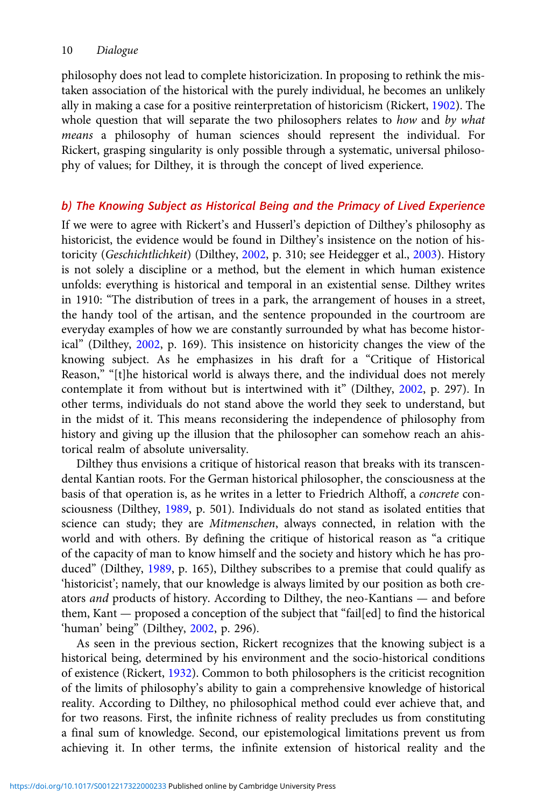philosophy does not lead to complete historicization. In proposing to rethink the mistaken association of the historical with the purely individual, he becomes an unlikely ally in making a case for a positive reinterpretation of historicism (Rickert, [1902\)](#page-21-0). The whole question that will separate the two philosophers relates to how and by what means a philosophy of human sciences should represent the individual. For Rickert, grasping singularity is only possible through a systematic, universal philosophy of values; for Dilthey, it is through the concept of lived experience.

### b) The Knowing Subject as Historical Being and the Primacy of Lived Experience

If we were to agree with Rickert's and Husserl's depiction of Dilthey's philosophy as historicist, the evidence would be found in Dilthey's insistence on the notion of his-toricity (Geschichtlichkeit) (Dilthey, [2002,](#page-20-0) p. 310; see Heidegger et al., [2003\)](#page-20-0). History is not solely a discipline or a method, but the element in which human existence unfolds: everything is historical and temporal in an existential sense. Dilthey writes in 1910: "The distribution of trees in a park, the arrangement of houses in a street, the handy tool of the artisan, and the sentence propounded in the courtroom are everyday examples of how we are constantly surrounded by what has become historical" (Dilthey, [2002,](#page-20-0) p. 169). This insistence on historicity changes the view of the knowing subject. As he emphasizes in his draft for a "Critique of Historical Reason," "[t]he historical world is always there, and the individual does not merely contemplate it from without but is intertwined with it" (Dilthey, [2002,](#page-20-0) p. 297). In other terms, individuals do not stand above the world they seek to understand, but in the midst of it. This means reconsidering the independence of philosophy from history and giving up the illusion that the philosopher can somehow reach an ahistorical realm of absolute universality.

Dilthey thus envisions a critique of historical reason that breaks with its transcendental Kantian roots. For the German historical philosopher, the consciousness at the basis of that operation is, as he writes in a letter to Friedrich Althoff, a concrete consciousness (Dilthey, [1989,](#page-20-0) p. 501). Individuals do not stand as isolated entities that science can study; they are Mitmenschen, always connected, in relation with the world and with others. By defining the critique of historical reason as "a critique of the capacity of man to know himself and the society and history which he has produced" (Dilthey, [1989,](#page-20-0) p. 165), Dilthey subscribes to a premise that could qualify as 'historicist'; namely, that our knowledge is always limited by our position as both creators and products of history. According to Dilthey, the neo-Kantians — and before them, Kant — proposed a conception of the subject that "fail[ed] to find the historical 'human' being" (Dilthey, [2002,](#page-20-0) p. 296).

As seen in the previous section, Rickert recognizes that the knowing subject is a historical being, determined by his environment and the socio-historical conditions of existence (Rickert, [1932\)](#page-21-0). Common to both philosophers is the criticist recognition of the limits of philosophy's ability to gain a comprehensive knowledge of historical reality. According to Dilthey, no philosophical method could ever achieve that, and for two reasons. First, the infinite richness of reality precludes us from constituting a final sum of knowledge. Second, our epistemological limitations prevent us from achieving it. In other terms, the infinite extension of historical reality and the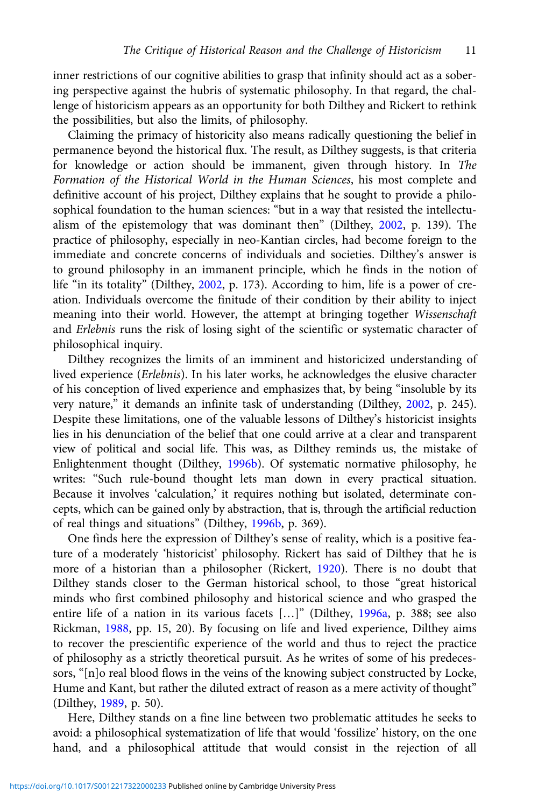inner restrictions of our cognitive abilities to grasp that infinity should act as a sobering perspective against the hubris of systematic philosophy. In that regard, the challenge of historicism appears as an opportunity for both Dilthey and Rickert to rethink the possibilities, but also the limits, of philosophy.

Claiming the primacy of historicity also means radically questioning the belief in permanence beyond the historical flux. The result, as Dilthey suggests, is that criteria for knowledge or action should be immanent, given through history. In The Formation of the Historical World in the Human Sciences, his most complete and definitive account of his project, Dilthey explains that he sought to provide a philosophical foundation to the human sciences: "but in a way that resisted the intellectualism of the epistemology that was dominant then" (Dilthey, [2002](#page-20-0), p. 139). The practice of philosophy, especially in neo-Kantian circles, had become foreign to the immediate and concrete concerns of individuals and societies. Dilthey's answer is to ground philosophy in an immanent principle, which he finds in the notion of life "in its totality" (Dilthey, [2002](#page-20-0), p. 173). According to him, life is a power of creation. Individuals overcome the finitude of their condition by their ability to inject meaning into their world. However, the attempt at bringing together Wissenschaft and Erlebnis runs the risk of losing sight of the scientific or systematic character of philosophical inquiry.

Dilthey recognizes the limits of an imminent and historicized understanding of lived experience (Erlebnis). In his later works, he acknowledges the elusive character of his conception of lived experience and emphasizes that, by being "insoluble by its very nature," it demands an infinite task of understanding (Dilthey, [2002](#page-20-0), p. 245). Despite these limitations, one of the valuable lessons of Dilthey's historicist insights lies in his denunciation of the belief that one could arrive at a clear and transparent view of political and social life. This was, as Dilthey reminds us, the mistake of Enlightenment thought (Dilthey, [1996b\)](#page-20-0). Of systematic normative philosophy, he writes: "Such rule-bound thought lets man down in every practical situation. Because it involves 'calculation,' it requires nothing but isolated, determinate concepts, which can be gained only by abstraction, that is, through the artificial reduction of real things and situations" (Dilthey, [1996b,](#page-20-0) p. 369).

One finds here the expression of Dilthey's sense of reality, which is a positive feature of a moderately 'historicist' philosophy. Rickert has said of Dilthey that he is more of a historian than a philosopher (Rickert, [1920\)](#page-21-0). There is no doubt that Dilthey stands closer to the German historical school, to those "great historical minds who first combined philosophy and historical science and who grasped the entire life of a nation in its various facets […]" (Dilthey, [1996a](#page-20-0), p. 388; see also Rickman, [1988](#page-21-0), pp. 15, 20). By focusing on life and lived experience, Dilthey aims to recover the prescientific experience of the world and thus to reject the practice of philosophy as a strictly theoretical pursuit. As he writes of some of his predecessors, "[n]o real blood flows in the veins of the knowing subject constructed by Locke, Hume and Kant, but rather the diluted extract of reason as a mere activity of thought" (Dilthey, [1989,](#page-20-0) p. 50).

Here, Dilthey stands on a fine line between two problematic attitudes he seeks to avoid: a philosophical systematization of life that would 'fossilize' history, on the one hand, and a philosophical attitude that would consist in the rejection of all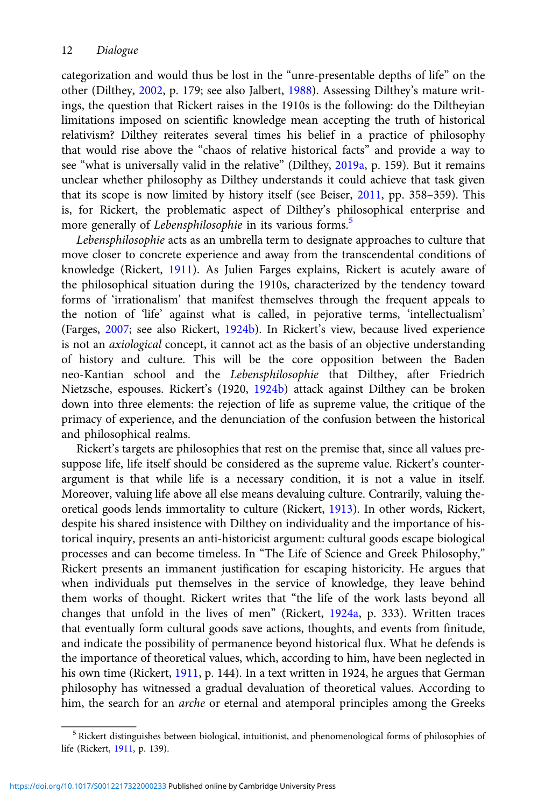categorization and would thus be lost in the "unre-presentable depths of life" on the other (Dilthey, [2002,](#page-20-0) p. 179; see also Jalbert, [1988](#page-20-0)). Assessing Dilthey's mature writings, the question that Rickert raises in the 1910s is the following: do the Diltheyian limitations imposed on scientific knowledge mean accepting the truth of historical relativism? Dilthey reiterates several times his belief in a practice of philosophy that would rise above the "chaos of relative historical facts" and provide a way to see "what is universally valid in the relative" (Dilthey, [2019a,](#page-20-0) p. 159). But it remains unclear whether philosophy as Dilthey understands it could achieve that task given that its scope is now limited by history itself (see Beiser, [2011](#page-19-0), pp. 358–359). This is, for Rickert, the problematic aspect of Dilthey's philosophical enterprise and more generally of Lebensphilosophie in its various forms.<sup>5</sup>

Lebensphilosophie acts as an umbrella term to designate approaches to culture that move closer to concrete experience and away from the transcendental conditions of knowledge (Rickert, [1911\)](#page-21-0). As Julien Farges explains, Rickert is acutely aware of the philosophical situation during the 1910s, characterized by the tendency toward forms of 'irrationalism' that manifest themselves through the frequent appeals to the notion of 'life' against what is called, in pejorative terms, 'intellectualism' (Farges, [2007;](#page-20-0) see also Rickert, [1924b\)](#page-21-0). In Rickert's view, because lived experience is not an axiological concept, it cannot act as the basis of an objective understanding of history and culture. This will be the core opposition between the Baden neo-Kantian school and the Lebensphilosophie that Dilthey, after Friedrich Nietzsche, espouses. Rickert's (1920, [1924b](#page-21-0)) attack against Dilthey can be broken down into three elements: the rejection of life as supreme value, the critique of the primacy of experience, and the denunciation of the confusion between the historical and philosophical realms.

Rickert's targets are philosophies that rest on the premise that, since all values presuppose life, life itself should be considered as the supreme value. Rickert's counterargument is that while life is a necessary condition, it is not a value in itself. Moreover, valuing life above all else means devaluing culture. Contrarily, valuing theoretical goods lends immortality to culture (Rickert, [1913](#page-21-0)). In other words, Rickert, despite his shared insistence with Dilthey on individuality and the importance of historical inquiry, presents an anti-historicist argument: cultural goods escape biological processes and can become timeless. In "The Life of Science and Greek Philosophy," Rickert presents an immanent justification for escaping historicity. He argues that when individuals put themselves in the service of knowledge, they leave behind them works of thought. Rickert writes that "the life of the work lasts beyond all changes that unfold in the lives of men" (Rickert, [1924a,](#page-21-0) p. 333). Written traces that eventually form cultural goods save actions, thoughts, and events from finitude, and indicate the possibility of permanence beyond historical flux. What he defends is the importance of theoretical values, which, according to him, have been neglected in his own time (Rickert, [1911,](#page-21-0) p. 144). In a text written in 1924, he argues that German philosophy has witnessed a gradual devaluation of theoretical values. According to him, the search for an *arche* or eternal and atemporal principles among the Greeks

<sup>5</sup> Rickert distinguishes between biological, intuitionist, and phenomenological forms of philosophies of life (Rickert, [1911,](#page-21-0) p. 139).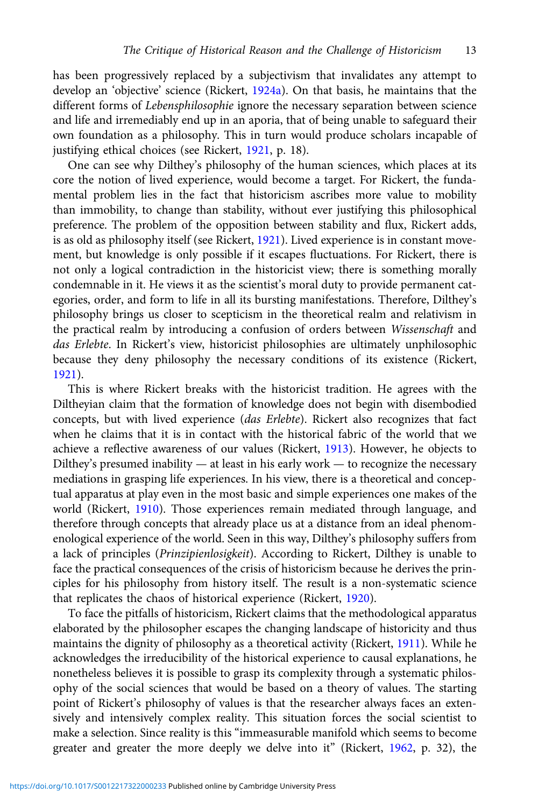has been progressively replaced by a subjectivism that invalidates any attempt to develop an 'objective' science (Rickert, [1924a\)](#page-21-0). On that basis, he maintains that the different forms of Lebensphilosophie ignore the necessary separation between science and life and irremediably end up in an aporia, that of being unable to safeguard their own foundation as a philosophy. This in turn would produce scholars incapable of justifying ethical choices (see Rickert, [1921,](#page-21-0) p. 18).

One can see why Dilthey's philosophy of the human sciences, which places at its core the notion of lived experience, would become a target. For Rickert, the fundamental problem lies in the fact that historicism ascribes more value to mobility than immobility, to change than stability, without ever justifying this philosophical preference. The problem of the opposition between stability and flux, Rickert adds, is as old as philosophy itself (see Rickert, [1921](#page-21-0)). Lived experience is in constant movement, but knowledge is only possible if it escapes fluctuations. For Rickert, there is not only a logical contradiction in the historicist view; there is something morally condemnable in it. He views it as the scientist's moral duty to provide permanent categories, order, and form to life in all its bursting manifestations. Therefore, Dilthey's philosophy brings us closer to scepticism in the theoretical realm and relativism in the practical realm by introducing a confusion of orders between Wissenschaft and das Erlebte. In Rickert's view, historicist philosophies are ultimately unphilosophic because they deny philosophy the necessary conditions of its existence (Rickert, [1921\)](#page-21-0).

This is where Rickert breaks with the historicist tradition. He agrees with the Diltheyian claim that the formation of knowledge does not begin with disembodied concepts, but with lived experience (das Erlebte). Rickert also recognizes that fact when he claims that it is in contact with the historical fabric of the world that we achieve a reflective awareness of our values (Rickert, [1913](#page-21-0)). However, he objects to Dilthey's presumed inability — at least in his early work — to recognize the necessary mediations in grasping life experiences. In his view, there is a theoretical and conceptual apparatus at play even in the most basic and simple experiences one makes of the world (Rickert, [1910\)](#page-21-0). Those experiences remain mediated through language, and therefore through concepts that already place us at a distance from an ideal phenomenological experience of the world. Seen in this way, Dilthey's philosophy suffers from a lack of principles (Prinzipienlosigkeit). According to Rickert, Dilthey is unable to face the practical consequences of the crisis of historicism because he derives the principles for his philosophy from history itself. The result is a non-systematic science that replicates the chaos of historical experience (Rickert, [1920\)](#page-21-0).

To face the pitfalls of historicism, Rickert claims that the methodological apparatus elaborated by the philosopher escapes the changing landscape of historicity and thus maintains the dignity of philosophy as a theoretical activity (Rickert, [1911\)](#page-21-0). While he acknowledges the irreducibility of the historical experience to causal explanations, he nonetheless believes it is possible to grasp its complexity through a systematic philosophy of the social sciences that would be based on a theory of values. The starting point of Rickert's philosophy of values is that the researcher always faces an extensively and intensively complex reality. This situation forces the social scientist to make a selection. Since reality is this "immeasurable manifold which seems to become greater and greater the more deeply we delve into it" (Rickert, [1962,](#page-21-0) p. 32), the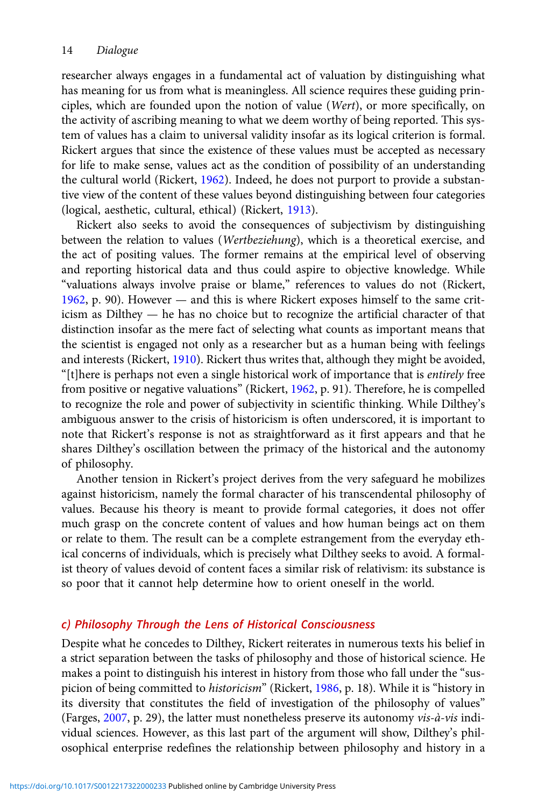researcher always engages in a fundamental act of valuation by distinguishing what has meaning for us from what is meaningless. All science requires these guiding principles, which are founded upon the notion of value (Wert), or more specifically, on the activity of ascribing meaning to what we deem worthy of being reported. This system of values has a claim to universal validity insofar as its logical criterion is formal. Rickert argues that since the existence of these values must be accepted as necessary for life to make sense, values act as the condition of possibility of an understanding the cultural world (Rickert, [1962](#page-21-0)). Indeed, he does not purport to provide a substantive view of the content of these values beyond distinguishing between four categories (logical, aesthetic, cultural, ethical) (Rickert, [1913\)](#page-21-0).

Rickert also seeks to avoid the consequences of subjectivism by distinguishing between the relation to values (Wertbeziehung), which is a theoretical exercise, and the act of positing values. The former remains at the empirical level of observing and reporting historical data and thus could aspire to objective knowledge. While "valuations always involve praise or blame," references to values do not (Rickert, [1962](#page-21-0), p. 90). However — and this is where Rickert exposes himself to the same criticism as Dilthey — he has no choice but to recognize the artificial character of that distinction insofar as the mere fact of selecting what counts as important means that the scientist is engaged not only as a researcher but as a human being with feelings and interests (Rickert, [1910\)](#page-21-0). Rickert thus writes that, although they might be avoided, "[t]here is perhaps not even a single historical work of importance that is entirely free from positive or negative valuations" (Rickert, [1962,](#page-21-0) p. 91). Therefore, he is compelled to recognize the role and power of subjectivity in scientific thinking. While Dilthey's ambiguous answer to the crisis of historicism is often underscored, it is important to note that Rickert's response is not as straightforward as it first appears and that he shares Dilthey's oscillation between the primacy of the historical and the autonomy of philosophy.

Another tension in Rickert's project derives from the very safeguard he mobilizes against historicism, namely the formal character of his transcendental philosophy of values. Because his theory is meant to provide formal categories, it does not offer much grasp on the concrete content of values and how human beings act on them or relate to them. The result can be a complete estrangement from the everyday ethical concerns of individuals, which is precisely what Dilthey seeks to avoid. A formalist theory of values devoid of content faces a similar risk of relativism: its substance is so poor that it cannot help determine how to orient oneself in the world.

# c) Philosophy Through the Lens of Historical Consciousness

Despite what he concedes to Dilthey, Rickert reiterates in numerous texts his belief in a strict separation between the tasks of philosophy and those of historical science. He makes a point to distinguish his interest in history from those who fall under the "suspicion of being committed to historicism" (Rickert, [1986](#page-21-0), p. 18). While it is "history in its diversity that constitutes the field of investigation of the philosophy of values" (Farges, [2007](#page-20-0), p. 29), the latter must nonetheless preserve its autonomy vis-à-vis individual sciences. However, as this last part of the argument will show, Dilthey's philosophical enterprise redefines the relationship between philosophy and history in a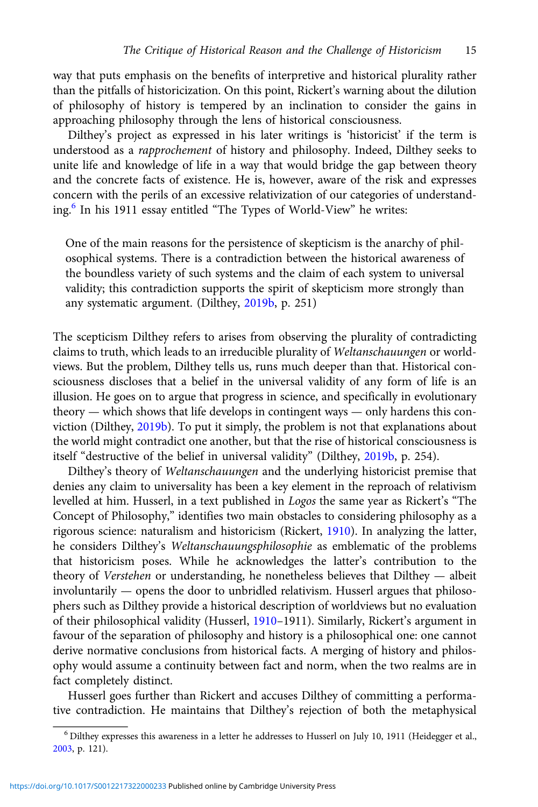way that puts emphasis on the benefits of interpretive and historical plurality rather than the pitfalls of historicization. On this point, Rickert's warning about the dilution of philosophy of history is tempered by an inclination to consider the gains in approaching philosophy through the lens of historical consciousness.

Dilthey's project as expressed in his later writings is 'historicist' if the term is understood as a rapprochement of history and philosophy. Indeed, Dilthey seeks to unite life and knowledge of life in a way that would bridge the gap between theory and the concrete facts of existence. He is, however, aware of the risk and expresses concern with the perils of an excessive relativization of our categories of understanding.<sup>6</sup> In his 1911 essay entitled "The Types of World-View" he writes:

One of the main reasons for the persistence of skepticism is the anarchy of philosophical systems. There is a contradiction between the historical awareness of the boundless variety of such systems and the claim of each system to universal validity; this contradiction supports the spirit of skepticism more strongly than any systematic argument. (Dilthey, [2019b](#page-20-0), p. 251)

The scepticism Dilthey refers to arises from observing the plurality of contradicting claims to truth, which leads to an irreducible plurality of Weltanschauungen or worldviews. But the problem, Dilthey tells us, runs much deeper than that. Historical consciousness discloses that a belief in the universal validity of any form of life is an illusion. He goes on to argue that progress in science, and specifically in evolutionary theory — which shows that life develops in contingent ways — only hardens this conviction (Dilthey, [2019b](#page-20-0)). To put it simply, the problem is not that explanations about the world might contradict one another, but that the rise of historical consciousness is itself "destructive of the belief in universal validity" (Dilthey, [2019b,](#page-20-0) p. 254).

Dilthey's theory of Weltanschauungen and the underlying historicist premise that denies any claim to universality has been a key element in the reproach of relativism levelled at him. Husserl, in a text published in Logos the same year as Rickert's "The Concept of Philosophy," identifies two main obstacles to considering philosophy as a rigorous science: naturalism and historicism (Rickert, [1910](#page-21-0)). In analyzing the latter, he considers Dilthey's Weltanschauungsphilosophie as emblematic of the problems that historicism poses. While he acknowledges the latter's contribution to the theory of Verstehen or understanding, he nonetheless believes that Dilthey — albeit involuntarily — opens the door to unbridled relativism. Husserl argues that philosophers such as Dilthey provide a historical description of worldviews but no evaluation of their philosophical validity (Husserl, [1910](#page-20-0)–1911). Similarly, Rickert's argument in favour of the separation of philosophy and history is a philosophical one: one cannot derive normative conclusions from historical facts. A merging of history and philosophy would assume a continuity between fact and norm, when the two realms are in fact completely distinct.

Husserl goes further than Rickert and accuses Dilthey of committing a performative contradiction. He maintains that Dilthey's rejection of both the metaphysical

<sup>6</sup> Dilthey expresses this awareness in a letter he addresses to Husserl on July 10, 1911 (Heidegger et al., [2003,](#page-20-0) p. 121).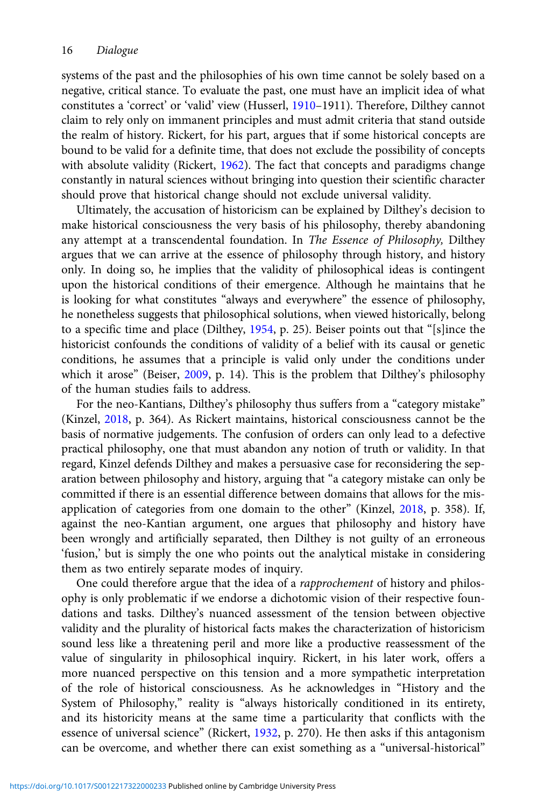systems of the past and the philosophies of his own time cannot be solely based on a negative, critical stance. To evaluate the past, one must have an implicit idea of what constitutes a 'correct' or 'valid' view (Husserl, [1910](#page-20-0)–1911). Therefore, Dilthey cannot claim to rely only on immanent principles and must admit criteria that stand outside the realm of history. Rickert, for his part, argues that if some historical concepts are bound to be valid for a definite time, that does not exclude the possibility of concepts with absolute validity (Rickert, [1962\)](#page-21-0). The fact that concepts and paradigms change constantly in natural sciences without bringing into question their scientific character should prove that historical change should not exclude universal validity.

Ultimately, the accusation of historicism can be explained by Dilthey's decision to make historical consciousness the very basis of his philosophy, thereby abandoning any attempt at a transcendental foundation. In The Essence of Philosophy, Dilthey argues that we can arrive at the essence of philosophy through history, and history only. In doing so, he implies that the validity of philosophical ideas is contingent upon the historical conditions of their emergence. Although he maintains that he is looking for what constitutes "always and everywhere" the essence of philosophy, he nonetheless suggests that philosophical solutions, when viewed historically, belong to a specific time and place (Dilthey, [1954](#page-19-0), p. 25). Beiser points out that "[s]ince the historicist confounds the conditions of validity of a belief with its causal or genetic conditions, he assumes that a principle is valid only under the conditions under which it arose" (Beiser, [2009](#page-19-0), p. 14). This is the problem that Dilthey's philosophy of the human studies fails to address.

For the neo-Kantians, Dilthey's philosophy thus suffers from a "category mistake" (Kinzel, [2018](#page-20-0), p. 364). As Rickert maintains, historical consciousness cannot be the basis of normative judgements. The confusion of orders can only lead to a defective practical philosophy, one that must abandon any notion of truth or validity. In that regard, Kinzel defends Dilthey and makes a persuasive case for reconsidering the separation between philosophy and history, arguing that "a category mistake can only be committed if there is an essential difference between domains that allows for the misapplication of categories from one domain to the other" (Kinzel, [2018,](#page-20-0) p. 358). If, against the neo-Kantian argument, one argues that philosophy and history have been wrongly and artificially separated, then Dilthey is not guilty of an erroneous 'fusion,' but is simply the one who points out the analytical mistake in considering them as two entirely separate modes of inquiry.

One could therefore argue that the idea of a *rapprochement* of history and philosophy is only problematic if we endorse a dichotomic vision of their respective foundations and tasks. Dilthey's nuanced assessment of the tension between objective validity and the plurality of historical facts makes the characterization of historicism sound less like a threatening peril and more like a productive reassessment of the value of singularity in philosophical inquiry. Rickert, in his later work, offers a more nuanced perspective on this tension and a more sympathetic interpretation of the role of historical consciousness. As he acknowledges in "History and the System of Philosophy," reality is "always historically conditioned in its entirety, and its historicity means at the same time a particularity that conflicts with the essence of universal science" (Rickert, [1932](#page-21-0), p. 270). He then asks if this antagonism can be overcome, and whether there can exist something as a "universal-historical"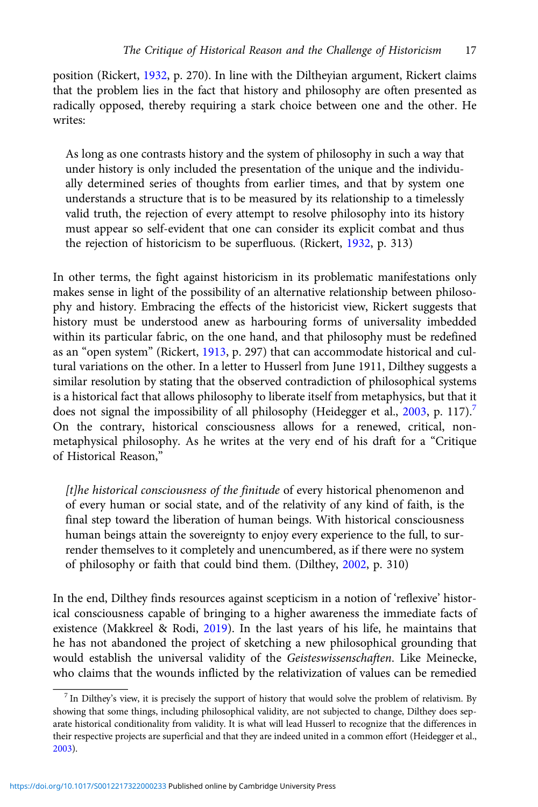position (Rickert, [1932](#page-21-0), p. 270). In line with the Diltheyian argument, Rickert claims that the problem lies in the fact that history and philosophy are often presented as radically opposed, thereby requiring a stark choice between one and the other. He writes:

As long as one contrasts history and the system of philosophy in such a way that under history is only included the presentation of the unique and the individually determined series of thoughts from earlier times, and that by system one understands a structure that is to be measured by its relationship to a timelessly valid truth, the rejection of every attempt to resolve philosophy into its history must appear so self-evident that one can consider its explicit combat and thus the rejection of historicism to be superfluous. (Rickert, [1932](#page-21-0), p. 313)

In other terms, the fight against historicism in its problematic manifestations only makes sense in light of the possibility of an alternative relationship between philosophy and history. Embracing the effects of the historicist view, Rickert suggests that history must be understood anew as harbouring forms of universality imbedded within its particular fabric, on the one hand, and that philosophy must be redefined as an "open system" (Rickert, [1913,](#page-21-0) p. 297) that can accommodate historical and cultural variations on the other. In a letter to Husserl from June 1911, Dilthey suggests a similar resolution by stating that the observed contradiction of philosophical systems is a historical fact that allows philosophy to liberate itself from metaphysics, but that it does not signal the impossibility of all philosophy (Heidegger et al., [2003](#page-20-0), p. 117).<sup>7</sup> On the contrary, historical consciousness allows for a renewed, critical, nonmetaphysical philosophy. As he writes at the very end of his draft for a "Critique of Historical Reason,"

[t]he historical consciousness of the finitude of every historical phenomenon and of every human or social state, and of the relativity of any kind of faith, is the final step toward the liberation of human beings. With historical consciousness human beings attain the sovereignty to enjoy every experience to the full, to surrender themselves to it completely and unencumbered, as if there were no system of philosophy or faith that could bind them. (Dilthey, [2002](#page-20-0), p. 310)

In the end, Dilthey finds resources against scepticism in a notion of 'reflexive' historical consciousness capable of bringing to a higher awareness the immediate facts of existence (Makkreel & Rodi, [2019\)](#page-20-0). In the last years of his life, he maintains that he has not abandoned the project of sketching a new philosophical grounding that would establish the universal validity of the Geisteswissenschaften. Like Meinecke, who claims that the wounds inflicted by the relativization of values can be remedied

 $<sup>7</sup>$  In Dilthey's view, it is precisely the support of history that would solve the problem of relativism. By</sup> showing that some things, including philosophical validity, are not subjected to change, Dilthey does separate historical conditionality from validity. It is what will lead Husserl to recognize that the differences in their respective projects are superficial and that they are indeed united in a common effort (Heidegger et al., [2003\)](#page-20-0).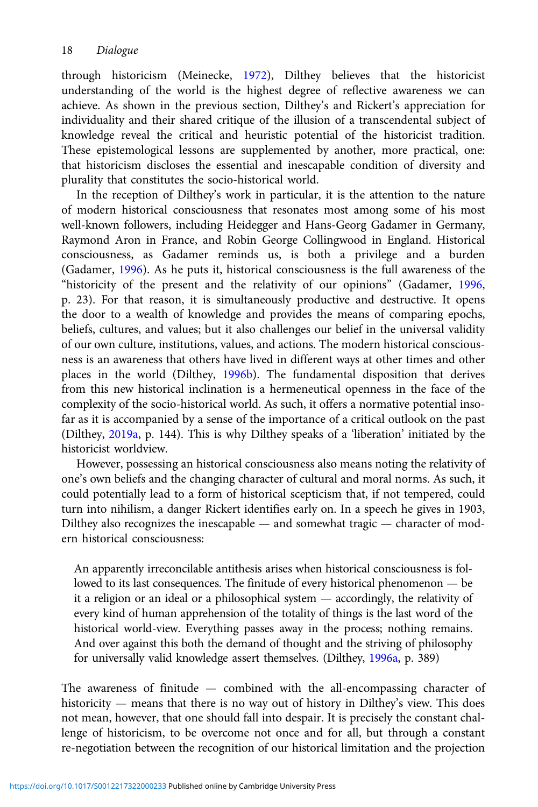through historicism (Meinecke, [1972](#page-20-0)), Dilthey believes that the historicist understanding of the world is the highest degree of reflective awareness we can achieve. As shown in the previous section, Dilthey's and Rickert's appreciation for individuality and their shared critique of the illusion of a transcendental subject of knowledge reveal the critical and heuristic potential of the historicist tradition. These epistemological lessons are supplemented by another, more practical, one: that historicism discloses the essential and inescapable condition of diversity and plurality that constitutes the socio-historical world.

In the reception of Dilthey's work in particular, it is the attention to the nature of modern historical consciousness that resonates most among some of his most well-known followers, including Heidegger and Hans-Georg Gadamer in Germany, Raymond Aron in France, and Robin George Collingwood in England. Historical consciousness, as Gadamer reminds us, is both a privilege and a burden (Gadamer, [1996\)](#page-20-0). As he puts it, historical consciousness is the full awareness of the "historicity of the present and the relativity of our opinions" (Gadamer, [1996](#page-20-0), p. 23). For that reason, it is simultaneously productive and destructive. It opens the door to a wealth of knowledge and provides the means of comparing epochs, beliefs, cultures, and values; but it also challenges our belief in the universal validity of our own culture, institutions, values, and actions. The modern historical consciousness is an awareness that others have lived in different ways at other times and other places in the world (Dilthey, [1996b\)](#page-20-0). The fundamental disposition that derives from this new historical inclination is a hermeneutical openness in the face of the complexity of the socio-historical world. As such, it offers a normative potential insofar as it is accompanied by a sense of the importance of a critical outlook on the past (Dilthey, [2019a,](#page-20-0) p. 144). This is why Dilthey speaks of a 'liberation' initiated by the historicist worldview.

However, possessing an historical consciousness also means noting the relativity of one's own beliefs and the changing character of cultural and moral norms. As such, it could potentially lead to a form of historical scepticism that, if not tempered, could turn into nihilism, a danger Rickert identifies early on. In a speech he gives in 1903, Dilthey also recognizes the inescapable — and somewhat tragic — character of modern historical consciousness:

An apparently irreconcilable antithesis arises when historical consciousness is followed to its last consequences. The finitude of every historical phenomenon — be it a religion or an ideal or a philosophical system — accordingly, the relativity of every kind of human apprehension of the totality of things is the last word of the historical world-view. Everything passes away in the process; nothing remains. And over against this both the demand of thought and the striving of philosophy for universally valid knowledge assert themselves. (Dilthey, [1996a](#page-20-0), p. 389)

The awareness of finitude — combined with the all-encompassing character of historicity — means that there is no way out of history in Dilthey's view. This does not mean, however, that one should fall into despair. It is precisely the constant challenge of historicism, to be overcome not once and for all, but through a constant re-negotiation between the recognition of our historical limitation and the projection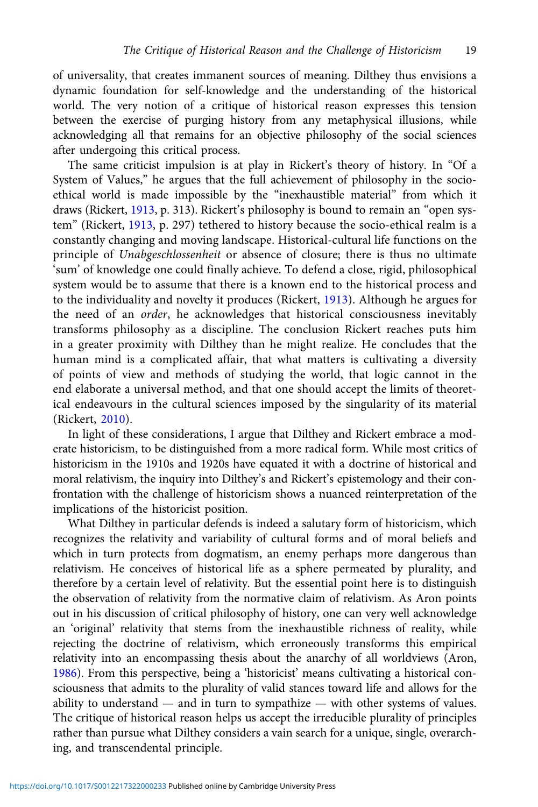of universality, that creates immanent sources of meaning. Dilthey thus envisions a dynamic foundation for self-knowledge and the understanding of the historical world. The very notion of a critique of historical reason expresses this tension between the exercise of purging history from any metaphysical illusions, while acknowledging all that remains for an objective philosophy of the social sciences after undergoing this critical process.

The same criticist impulsion is at play in Rickert's theory of history. In "Of a System of Values," he argues that the full achievement of philosophy in the socioethical world is made impossible by the "inexhaustible material" from which it draws (Rickert, [1913](#page-21-0), p. 313). Rickert's philosophy is bound to remain an "open system" (Rickert, [1913,](#page-21-0) p. 297) tethered to history because the socio-ethical realm is a constantly changing and moving landscape. Historical-cultural life functions on the principle of Unabgeschlossenheit or absence of closure; there is thus no ultimate 'sum' of knowledge one could finally achieve. To defend a close, rigid, philosophical system would be to assume that there is a known end to the historical process and to the individuality and novelty it produces (Rickert, [1913](#page-21-0)). Although he argues for the need of an order, he acknowledges that historical consciousness inevitably transforms philosophy as a discipline. The conclusion Rickert reaches puts him in a greater proximity with Dilthey than he might realize. He concludes that the human mind is a complicated affair, that what matters is cultivating a diversity of points of view and methods of studying the world, that logic cannot in the end elaborate a universal method, and that one should accept the limits of theoretical endeavours in the cultural sciences imposed by the singularity of its material (Rickert, [2010\)](#page-21-0).

In light of these considerations, I argue that Dilthey and Rickert embrace a moderate historicism, to be distinguished from a more radical form. While most critics of historicism in the 1910s and 1920s have equated it with a doctrine of historical and moral relativism, the inquiry into Dilthey's and Rickert's epistemology and their confrontation with the challenge of historicism shows a nuanced reinterpretation of the implications of the historicist position.

What Dilthey in particular defends is indeed a salutary form of historicism, which recognizes the relativity and variability of cultural forms and of moral beliefs and which in turn protects from dogmatism, an enemy perhaps more dangerous than relativism. He conceives of historical life as a sphere permeated by plurality, and therefore by a certain level of relativity. But the essential point here is to distinguish the observation of relativity from the normative claim of relativism. As Aron points out in his discussion of critical philosophy of history, one can very well acknowledge an 'original' relativity that stems from the inexhaustible richness of reality, while rejecting the doctrine of relativism, which erroneously transforms this empirical relativity into an encompassing thesis about the anarchy of all worldviews (Aron, [1986\)](#page-19-0). From this perspective, being a 'historicist' means cultivating a historical consciousness that admits to the plurality of valid stances toward life and allows for the ability to understand — and in turn to sympathize — with other systems of values. The critique of historical reason helps us accept the irreducible plurality of principles rather than pursue what Dilthey considers a vain search for a unique, single, overarching, and transcendental principle.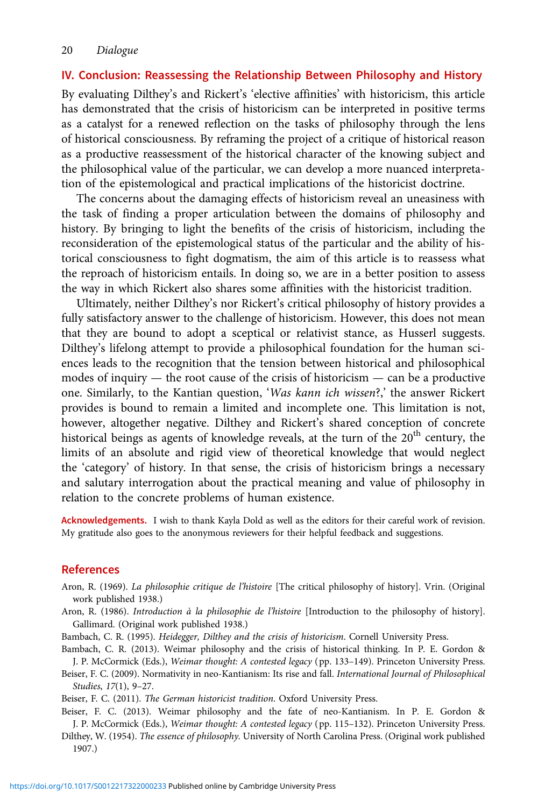# <span id="page-19-0"></span>IV. Conclusion: Reassessing the Relationship Between Philosophy and History

By evaluating Dilthey's and Rickert's 'elective affinities' with historicism, this article has demonstrated that the crisis of historicism can be interpreted in positive terms as a catalyst for a renewed reflection on the tasks of philosophy through the lens of historical consciousness. By reframing the project of a critique of historical reason as a productive reassessment of the historical character of the knowing subject and the philosophical value of the particular, we can develop a more nuanced interpretation of the epistemological and practical implications of the historicist doctrine.

The concerns about the damaging effects of historicism reveal an uneasiness with the task of finding a proper articulation between the domains of philosophy and history. By bringing to light the benefits of the crisis of historicism, including the reconsideration of the epistemological status of the particular and the ability of historical consciousness to fight dogmatism, the aim of this article is to reassess what the reproach of historicism entails. In doing so, we are in a better position to assess the way in which Rickert also shares some affinities with the historicist tradition.

Ultimately, neither Dilthey's nor Rickert's critical philosophy of history provides a fully satisfactory answer to the challenge of historicism. However, this does not mean that they are bound to adopt a sceptical or relativist stance, as Husserl suggests. Dilthey's lifelong attempt to provide a philosophical foundation for the human sciences leads to the recognition that the tension between historical and philosophical modes of inquiry — the root cause of the crisis of historicism — can be a productive one. Similarly, to the Kantian question, 'Was kann ich wissen?,' the answer Rickert provides is bound to remain a limited and incomplete one. This limitation is not, however, altogether negative. Dilthey and Rickert's shared conception of concrete historical beings as agents of knowledge reveals, at the turn of the  $20<sup>th</sup>$  century, the limits of an absolute and rigid view of theoretical knowledge that would neglect the 'category' of history. In that sense, the crisis of historicism brings a necessary and salutary interrogation about the practical meaning and value of philosophy in relation to the concrete problems of human existence.

Acknowledgements. I wish to thank Kayla Dold as well as the editors for their careful work of revision. My gratitude also goes to the anonymous reviewers for their helpful feedback and suggestions.

# **References**

- Aron, R. (1969). La philosophie critique de l'histoire [The critical philosophy of history]. Vrin. (Original work published 1938.)
- Aron, R. (1986). Introduction à la philosophie de l'histoire [Introduction to the philosophy of history]. Gallimard. (Original work published 1938.)

Bambach, C. R. (1995). Heidegger, Dilthey and the crisis of historicism. Cornell University Press.

Bambach, C. R. (2013). Weimar philosophy and the crisis of historical thinking. In P. E. Gordon & J. P. McCormick (Eds.), Weimar thought: A contested legacy (pp. 133-149). Princeton University Press.

Beiser, F. C. (2009). Normativity in neo-Kantianism: Its rise and fall. International Journal of Philosophical Studies, 17(1), 9–27.

Beiser, F. C. (2011). The German historicist tradition. Oxford University Press.

Beiser, F. C. (2013). Weimar philosophy and the fate of neo-Kantianism. In P. E. Gordon & J. P. McCormick (Eds.), Weimar thought: A contested legacy (pp. 115–132). Princeton University Press.

Dilthey, W. (1954). The essence of philosophy. University of North Carolina Press. (Original work published 1907.)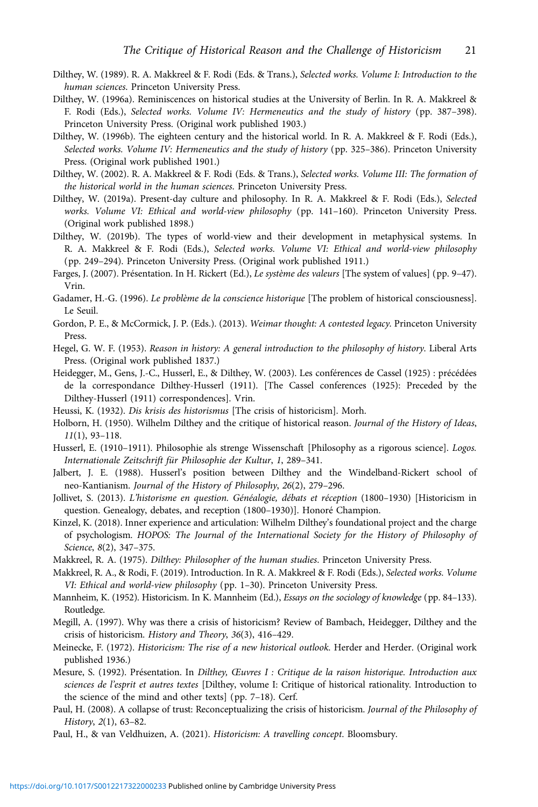- <span id="page-20-0"></span>Dilthey, W. (1989). R. A. Makkreel & F. Rodi (Eds. & Trans.), Selected works. Volume I: Introduction to the human sciences. Princeton University Press.
- Dilthey, W. (1996a). Reminiscences on historical studies at the University of Berlin. In R. A. Makkreel & F. Rodi (Eds.), Selected works. Volume IV: Hermeneutics and the study of history (pp. 387–398). Princeton University Press. (Original work published 1903.)
- Dilthey, W. (1996b). The eighteen century and the historical world. In R. A. Makkreel & F. Rodi (Eds.), Selected works. Volume IV: Hermeneutics and the study of history (pp. 325-386). Princeton University Press. (Original work published 1901.)
- Dilthey, W. (2002). R. A. Makkreel & F. Rodi (Eds. & Trans.), Selected works. Volume III: The formation of the historical world in the human sciences. Princeton University Press.
- Dilthey, W. (2019a). Present-day culture and philosophy. In R. A. Makkreel & F. Rodi (Eds.), Selected works. Volume VI: Ethical and world-view philosophy (pp. 141–160). Princeton University Press. (Original work published 1898.)
- Dilthey, W. (2019b). The types of world-view and their development in metaphysical systems. In R. A. Makkreel & F. Rodi (Eds.), Selected works. Volume VI: Ethical and world-view philosophy (pp. 249–294). Princeton University Press. (Original work published 1911.)
- Farges, J. (2007). Présentation. In H. Rickert (Ed.), Le système des valeurs [The system of values] (pp. 9–47). Vrin.
- Gadamer, H.-G. (1996). Le problème de la conscience historique [The problem of historical consciousness]. Le Seuil.
- Gordon, P. E., & McCormick, J. P. (Eds.). (2013). Weimar thought: A contested legacy. Princeton University Press.
- Hegel, G. W. F. (1953). Reason in history: A general introduction to the philosophy of history. Liberal Arts Press. (Original work published 1837.)
- Heidegger, M., Gens, J.-C., Husserl, E., & Dilthey, W. (2003). Les conférences de Cassel (1925) : précédées de la correspondance Dilthey-Husserl (1911). [The Cassel conferences (1925): Preceded by the Dilthey-Husserl (1911) correspondences]. Vrin.
- Heussi, K. (1932). Dis krisis des historismus [The crisis of historicism]. Morh.
- Holborn, H. (1950). Wilhelm Dilthey and the critique of historical reason. Journal of the History of Ideas, 11(1), 93–118.
- Husserl, E. (1910–1911). Philosophie als strenge Wissenschaft [Philosophy as a rigorous science]. Logos. Internationale Zeitschrift für Philosophie der Kultur, 1, 289–341.
- Jalbert, J. E. (1988). Husserl's position between Dilthey and the Windelband-Rickert school of neo-Kantianism. Journal of the History of Philosophy, 26(2), 279–296.
- Jollivet, S. (2013). L'historisme en question. Généalogie, débats et réception (1800–1930) [Historicism in question. Genealogy, debates, and reception (1800–1930)]. Honoré Champion.
- Kinzel, K. (2018). Inner experience and articulation: Wilhelm Dilthey's foundational project and the charge of psychologism. HOPOS: The Journal of the International Society for the History of Philosophy of Science, 8(2), 347–375.
- Makkreel, R. A. (1975). Dilthey: Philosopher of the human studies. Princeton University Press.
- Makkreel, R. A., & Rodi, F. (2019). Introduction. In R. A. Makkreel & F. Rodi (Eds.), Selected works. Volume VI: Ethical and world-view philosophy (pp. 1–30). Princeton University Press.
- Mannheim, K. (1952). Historicism. In K. Mannheim (Ed.), Essays on the sociology of knowledge (pp. 84–133). Routledge.
- Megill, A. (1997). Why was there a crisis of historicism? Review of Bambach, Heidegger, Dilthey and the crisis of historicism. History and Theory, 36(3), 416–429.
- Meinecke, F. (1972). Historicism: The rise of a new historical outlook. Herder and Herder. (Original work published 1936.)
- Mesure, S. (1992). Présentation. In Dilthey, Œuvres I : Critique de la raison historique. Introduction aux sciences de l'esprit et autres textes [Dilthey, volume I: Critique of historical rationality. Introduction to the science of the mind and other texts] (pp. 7–18). Cerf.
- Paul, H. (2008). A collapse of trust: Reconceptualizing the crisis of historicism. Journal of the Philosophy of History, 2(1), 63–82.

Paul, H., & van Veldhuizen, A. (2021). Historicism: A travelling concept. Bloomsbury.